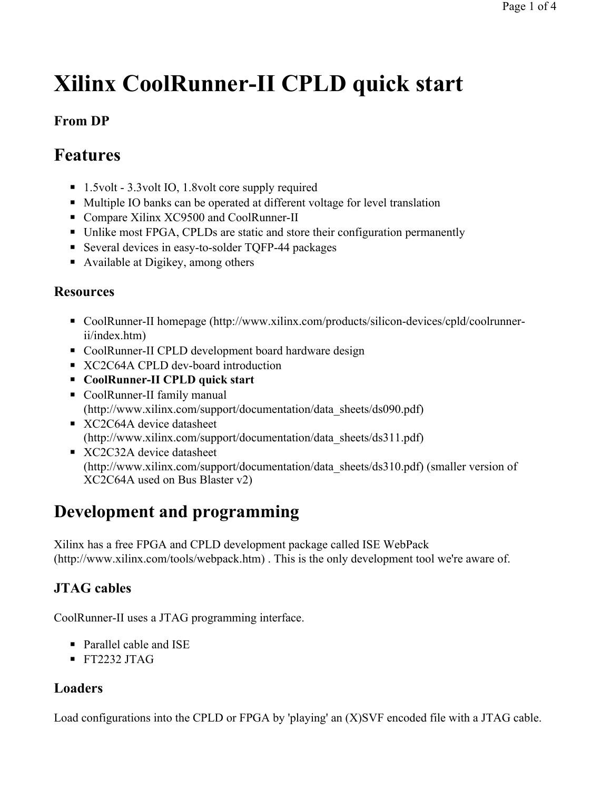# **Xilinx CoolRunner-II CPLD quick start**

### **From DP**

# **Features**

- 1.5volt 3.3volt IO, 1.8volt core supply required
- Multiple IO banks can be operated at different voltage for level translation
- Compare Xilinx XC9500 and CoolRunner-II
- Unlike most FPGA, CPLDs are static and store their configuration permanently
- Several devices in easy-to-solder TQFP-44 packages
- Available at Digikey, among others

#### **Resources**

- CoolRunner-II homepage (http://www.xilinx.com/products/silicon-devices/cpld/coolrunnerii/index.htm)
- CoolRunner-II CPLD development board hardware design
- XC2C64A CPLD dev-board introduction
- ◾ **CoolRunner-II CPLD quick start**
- CoolRunner-II family manual (http://www.xilinx.com/support/documentation/data\_sheets/ds090.pdf)
- XC2C64A device datasheet (http://www.xilinx.com/support/documentation/data\_sheets/ds311.pdf)
- XC2C32A device datasheet (http://www.xilinx.com/support/documentation/data\_sheets/ds310.pdf) (smaller version of XC2C64A used on Bus Blaster v2)

# **Development and programming**

Xilinx has a free FPGA and CPLD development package called ISE WebPack (http://www.xilinx.com/tools/webpack.htm) . This is the only development tool we're aware of.

### **JTAG cables**

CoolRunner-II uses a JTAG programming interface.

- Parallel cable and ISE
- $\blacksquare$  FT2232 JTAG

### **Loaders**

Load configurations into the CPLD or FPGA by 'playing' an (X)SVF encoded file with a JTAG cable.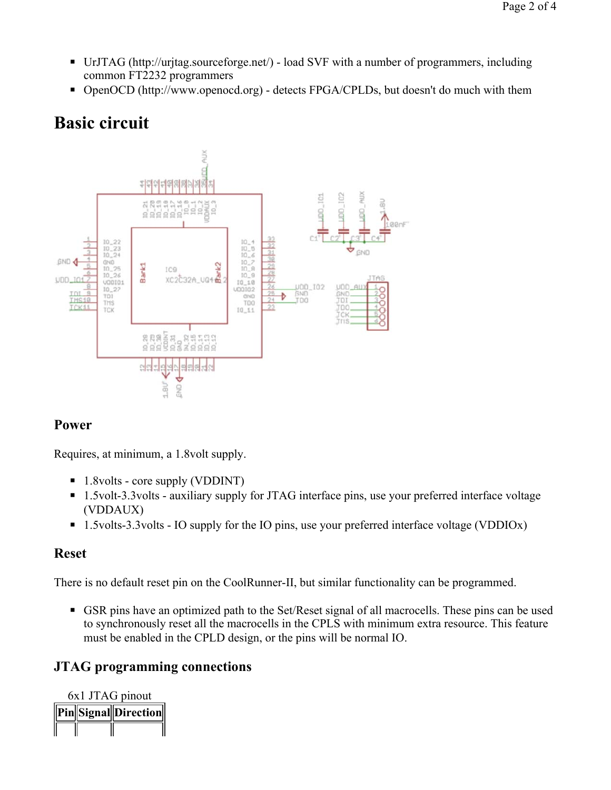- UrJTAG (http://urjtag.sourceforge.net/) load SVF with a number of programmers, including common FT2232 programmers
- OpenOCD (http://www.openocd.org) detects FPGA/CPLDs, but doesn't do much with them

# **Basic circuit**



#### **Power**

Requires, at minimum, a 1.8volt supply.

- 1.8volts core supply (VDDINT)
- 1.5volt-3.3volts auxiliary supply for JTAG interface pins, use your preferred interface voltage (VDDAUX)
- 1.5volts-3.3volts IO supply for the IO pins, use your preferred interface voltage (VDDIOx)

#### **Reset**

There is no default reset pin on the CoolRunner-II, but similar functionality can be programmed.

■ GSR pins have an optimized path to the Set/Reset signal of all macrocells. These pins can be used to synchronously reset all the macrocells in the CPLS with minimum extra resource. This feature must be enabled in the CPLD design, or the pins will be normal IO.

#### **JTAG programming connections**

| 6x1 JTAG pinout |  |                        |  |
|-----------------|--|------------------------|--|
|                 |  | Pin  Signal  Direction |  |
|                 |  |                        |  |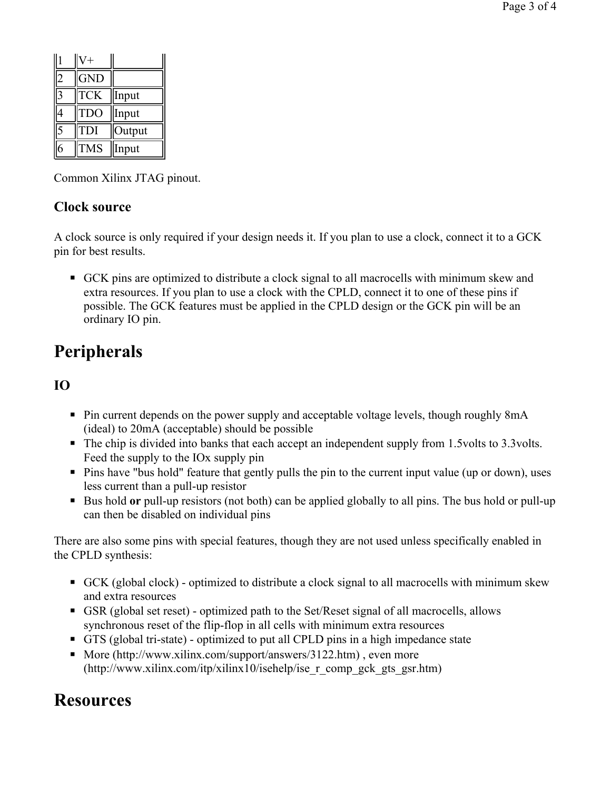| $\overline{c}$ | <b>GND</b> |        |
|----------------|------------|--------|
| 3              | <b>TCK</b> | Input  |
| 4              | <b>TDO</b> | Input  |
| $\bar{5}$      | <b>TDI</b> | Output |
| 5              | <b>TMS</b> | Input  |

Common Xilinx JTAG pinout.

### **Clock source**

A clock source is only required if your design needs it. If you plan to use a clock, connect it to a GCK pin for best results.

■ GCK pins are optimized to distribute a clock signal to all macrocells with minimum skew and extra resources. If you plan to use a clock with the CPLD, connect it to one of these pins if possible. The GCK features must be applied in the CPLD design or the GCK pin will be an ordinary IO pin.

# **Peripherals**

### **IO**

- Pin current depends on the power supply and acceptable voltage levels, though roughly 8mA (ideal) to 20mA (acceptable) should be possible
- The chip is divided into banks that each accept an independent supply from 1.5volts to 3.3volts. Feed the supply to the IOx supply pin
- Pins have "bus hold" feature that gently pulls the pin to the current input value (up or down), uses less current than a pull-up resistor
- Bus hold **or** pull-up resistors (not both) can be applied globally to all pins. The bus hold or pull-up can then be disabled on individual pins

There are also some pins with special features, though they are not used unless specifically enabled in the CPLD synthesis:

- GCK (global clock) optimized to distribute a clock signal to all macrocells with minimum skew and extra resources
- GSR (global set reset) optimized path to the Set/Reset signal of all macrocells, allows synchronous reset of the flip-flop in all cells with minimum extra resources
- GTS (global tri-state) optimized to put all CPLD pins in a high impedance state
- More (http://www.xilinx.com/support/answers/3122.htm), even more (http://www.xilinx.com/itp/xilinx10/isehelp/ise\_r\_comp\_gck\_gts\_gsr.htm)

## **Resources**